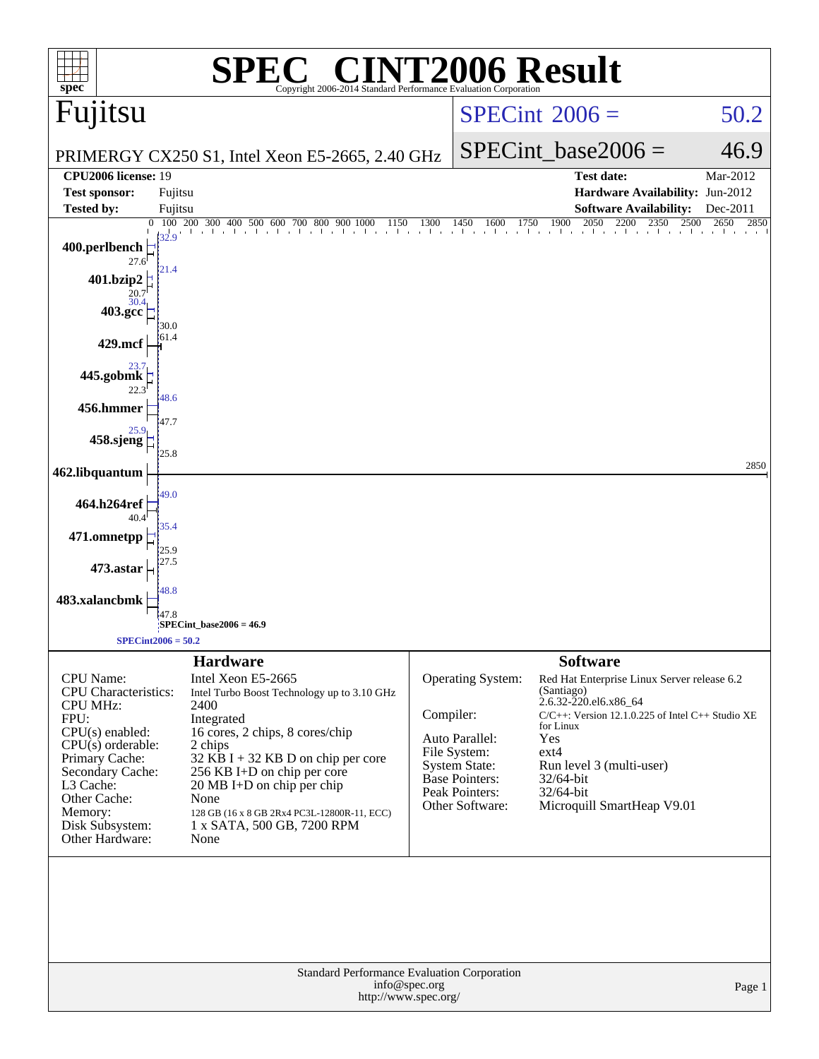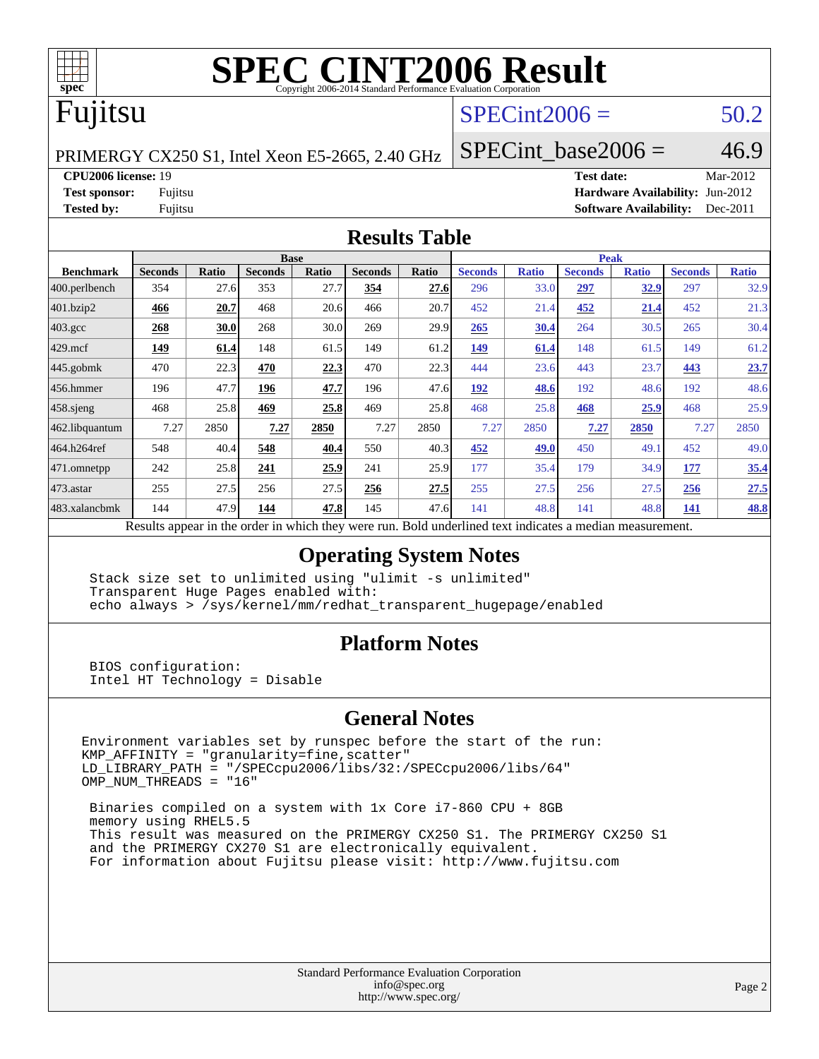

# Fujitsu

## $SPECint2006 = 50.2$  $SPECint2006 = 50.2$

PRIMERGY CX250 S1, Intel Xeon E5-2665, 2.40 GHz

SPECint base2006 =  $46.9$ 

**[CPU2006 license:](http://www.spec.org/auto/cpu2006/Docs/result-fields.html#CPU2006license)** 19 **[Test date:](http://www.spec.org/auto/cpu2006/Docs/result-fields.html#Testdate)** Mar-2012

**[Test sponsor:](http://www.spec.org/auto/cpu2006/Docs/result-fields.html#Testsponsor)** Fujitsu **[Hardware Availability:](http://www.spec.org/auto/cpu2006/Docs/result-fields.html#HardwareAvailability)** Jun-2012 **[Tested by:](http://www.spec.org/auto/cpu2006/Docs/result-fields.html#Testedby)** Fujitsu **[Software Availability:](http://www.spec.org/auto/cpu2006/Docs/result-fields.html#SoftwareAvailability)** Dec-2011

#### **[Results Table](http://www.spec.org/auto/cpu2006/Docs/result-fields.html#ResultsTable)**

|                    | <b>Base</b>    |              |                |       |                |       | <b>Peak</b>                                                                                              |              |                |              |                |              |
|--------------------|----------------|--------------|----------------|-------|----------------|-------|----------------------------------------------------------------------------------------------------------|--------------|----------------|--------------|----------------|--------------|
| <b>Benchmark</b>   | <b>Seconds</b> | <b>Ratio</b> | <b>Seconds</b> | Ratio | <b>Seconds</b> | Ratio | <b>Seconds</b>                                                                                           | <b>Ratio</b> | <b>Seconds</b> | <b>Ratio</b> | <b>Seconds</b> | <b>Ratio</b> |
| 400.perlbench      | 354            | 27.6         | 353            | 27.7  | 354            | 27.6  | 296                                                                                                      | 33.0         | 297            | 32.9         | 297            | 32.9         |
| 401.bzip2          | 466            | 20.7         | 468            | 20.6  | 466            | 20.7  | 452                                                                                                      | 21.4         | 452            | 21.4         | 452            | 21.3         |
| $403.\mathrm{gcc}$ | 268            | 30.0         | 268            | 30.0  | 269            | 29.9  | 265                                                                                                      | 30.4         | 264            | 30.5         | 265            | 30.4         |
| $429$ mcf          | 149            | 61.4         | 148            | 61.5  | 149            | 61.2  | 149                                                                                                      | 61.4         | 148            | 61.5         | 149            | 61.2         |
| $445$ .gobmk       | 470            | 22.3         | 470            | 22.3  | 470            | 22.3  | 444                                                                                                      | 23.6         | 443            | 23.7         | 443            | 23.7         |
| $456.$ hmmer       | 196            | 47.7         | 196            | 47.7  | 196            | 47.6  | 192                                                                                                      | 48.6         | 192            | 48.6         | 192            | 48.6         |
| $458$ .sjeng       | 468            | 25.8         | 469            | 25.8  | 469            | 25.8  | 468                                                                                                      | 25.8         | 468            | 25.9         | 468            | 25.9         |
| 462.libquantum     | 7.27           | 2850         | 7.27           | 2850  | 7.27           | 2850  | 7.27                                                                                                     | 2850         | 7.27           | 2850         | 7.27           | 2850         |
| 464.h264ref        | 548            | 40.4         | 548            | 40.4  | 550            | 40.3  | 452                                                                                                      | 49.0         | 450            | 49.1         | 452            | 49.0         |
| $ 471$ .omnetpp    | 242            | 25.8         | 241            | 25.9  | 241            | 25.9  | 177                                                                                                      | 35.4         | 179            | 34.9         | 177            | 35.4         |
| $473$ . astar      | 255            | 27.5         | 256            | 27.5  | 256            | 27.5  | 255                                                                                                      | 27.5         | 256            | 27.5         | 256            | 27.5         |
| 483.xalancbmk      | 144            | 47.9         | 144            | 47.8  | 145            | 47.6  | 141                                                                                                      | 48.8         | 141            | 48.8         | 141            | 48.8         |
|                    |                |              |                |       |                |       | Results appear in the order in which they were run. Bold underlined text indicates a median measurement. |              |                |              |                |              |

#### **[Operating System Notes](http://www.spec.org/auto/cpu2006/Docs/result-fields.html#OperatingSystemNotes)**

 Stack size set to unlimited using "ulimit -s unlimited" Transparent Huge Pages enabled with: echo always > /sys/kernel/mm/redhat\_transparent\_hugepage/enabled

#### **[Platform Notes](http://www.spec.org/auto/cpu2006/Docs/result-fields.html#PlatformNotes)**

 BIOS configuration: Intel HT Technology = Disable

#### **[General Notes](http://www.spec.org/auto/cpu2006/Docs/result-fields.html#GeneralNotes)**

Environment variables set by runspec before the start of the run: KMP\_AFFINITY = "granularity=fine,scatter" LD\_LIBRARY\_PATH = "/SPECcpu2006/libs/32:/SPECcpu2006/libs/64" OMP\_NUM\_THREADS = "16"

 Binaries compiled on a system with 1x Core i7-860 CPU + 8GB memory using RHEL5.5 This result was measured on the PRIMERGY CX250 S1. The PRIMERGY CX250 S1 and the PRIMERGY CX270 S1 are electronically equivalent. For information about Fujitsu please visit: <http://www.fujitsu.com>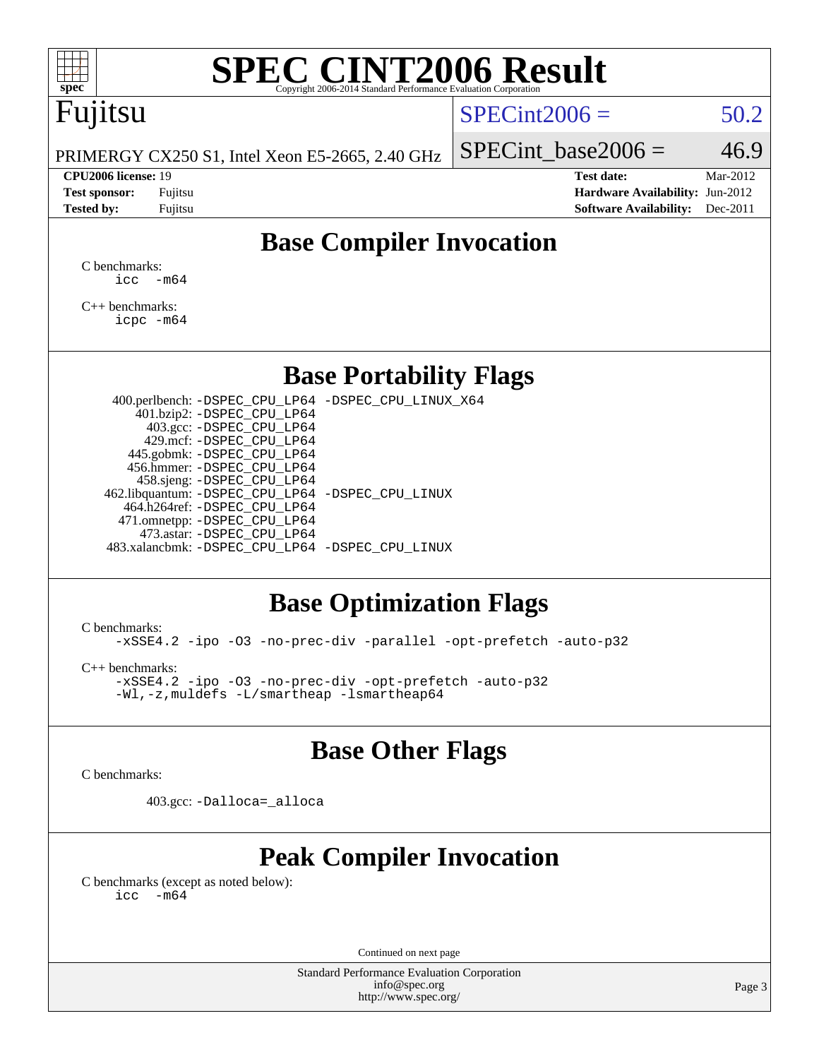

# Fujitsu

### $SPECint2006 = 50.2$  $SPECint2006 = 50.2$

PRIMERGY CX250 S1, Intel Xeon E5-2665, 2.40 GHz

**[Tested by:](http://www.spec.org/auto/cpu2006/Docs/result-fields.html#Testedby)** Fujitsu **Fugital Example 2011 [Software Availability:](http://www.spec.org/auto/cpu2006/Docs/result-fields.html#SoftwareAvailability)** Dec-2011

SPECint base2006 =  $46.9$ 

**[CPU2006 license:](http://www.spec.org/auto/cpu2006/Docs/result-fields.html#CPU2006license)** 19 **[Test date:](http://www.spec.org/auto/cpu2006/Docs/result-fields.html#Testdate)** Mar-2012 **[Test sponsor:](http://www.spec.org/auto/cpu2006/Docs/result-fields.html#Testsponsor)** Fujitsu **[Hardware Availability:](http://www.spec.org/auto/cpu2006/Docs/result-fields.html#HardwareAvailability)** Jun-2012

## **[Base Compiler Invocation](http://www.spec.org/auto/cpu2006/Docs/result-fields.html#BaseCompilerInvocation)**

[C benchmarks](http://www.spec.org/auto/cpu2006/Docs/result-fields.html#Cbenchmarks):  $\text{icc}$   $-\text{m64}$ 

[C++ benchmarks:](http://www.spec.org/auto/cpu2006/Docs/result-fields.html#CXXbenchmarks) [icpc -m64](http://www.spec.org/cpu2006/results/res2012q3/cpu2006-20120605-22804.flags.html#user_CXXbase_intel_icpc_64bit_fc66a5337ce925472a5c54ad6a0de310)

### **[Base Portability Flags](http://www.spec.org/auto/cpu2006/Docs/result-fields.html#BasePortabilityFlags)**

 400.perlbench: [-DSPEC\\_CPU\\_LP64](http://www.spec.org/cpu2006/results/res2012q3/cpu2006-20120605-22804.flags.html#b400.perlbench_basePORTABILITY_DSPEC_CPU_LP64) [-DSPEC\\_CPU\\_LINUX\\_X64](http://www.spec.org/cpu2006/results/res2012q3/cpu2006-20120605-22804.flags.html#b400.perlbench_baseCPORTABILITY_DSPEC_CPU_LINUX_X64) 401.bzip2: [-DSPEC\\_CPU\\_LP64](http://www.spec.org/cpu2006/results/res2012q3/cpu2006-20120605-22804.flags.html#suite_basePORTABILITY401_bzip2_DSPEC_CPU_LP64) 403.gcc: [-DSPEC\\_CPU\\_LP64](http://www.spec.org/cpu2006/results/res2012q3/cpu2006-20120605-22804.flags.html#suite_basePORTABILITY403_gcc_DSPEC_CPU_LP64) 429.mcf: [-DSPEC\\_CPU\\_LP64](http://www.spec.org/cpu2006/results/res2012q3/cpu2006-20120605-22804.flags.html#suite_basePORTABILITY429_mcf_DSPEC_CPU_LP64) 445.gobmk: [-DSPEC\\_CPU\\_LP64](http://www.spec.org/cpu2006/results/res2012q3/cpu2006-20120605-22804.flags.html#suite_basePORTABILITY445_gobmk_DSPEC_CPU_LP64) 456.hmmer: [-DSPEC\\_CPU\\_LP64](http://www.spec.org/cpu2006/results/res2012q3/cpu2006-20120605-22804.flags.html#suite_basePORTABILITY456_hmmer_DSPEC_CPU_LP64) 458.sjeng: [-DSPEC\\_CPU\\_LP64](http://www.spec.org/cpu2006/results/res2012q3/cpu2006-20120605-22804.flags.html#suite_basePORTABILITY458_sjeng_DSPEC_CPU_LP64) 462.libquantum: [-DSPEC\\_CPU\\_LP64](http://www.spec.org/cpu2006/results/res2012q3/cpu2006-20120605-22804.flags.html#suite_basePORTABILITY462_libquantum_DSPEC_CPU_LP64) [-DSPEC\\_CPU\\_LINUX](http://www.spec.org/cpu2006/results/res2012q3/cpu2006-20120605-22804.flags.html#b462.libquantum_baseCPORTABILITY_DSPEC_CPU_LINUX) 464.h264ref: [-DSPEC\\_CPU\\_LP64](http://www.spec.org/cpu2006/results/res2012q3/cpu2006-20120605-22804.flags.html#suite_basePORTABILITY464_h264ref_DSPEC_CPU_LP64) 471.omnetpp: [-DSPEC\\_CPU\\_LP64](http://www.spec.org/cpu2006/results/res2012q3/cpu2006-20120605-22804.flags.html#suite_basePORTABILITY471_omnetpp_DSPEC_CPU_LP64) 473.astar: [-DSPEC\\_CPU\\_LP64](http://www.spec.org/cpu2006/results/res2012q3/cpu2006-20120605-22804.flags.html#suite_basePORTABILITY473_astar_DSPEC_CPU_LP64) 483.xalancbmk: [-DSPEC\\_CPU\\_LP64](http://www.spec.org/cpu2006/results/res2012q3/cpu2006-20120605-22804.flags.html#suite_basePORTABILITY483_xalancbmk_DSPEC_CPU_LP64) [-DSPEC\\_CPU\\_LINUX](http://www.spec.org/cpu2006/results/res2012q3/cpu2006-20120605-22804.flags.html#b483.xalancbmk_baseCXXPORTABILITY_DSPEC_CPU_LINUX)

## **[Base Optimization Flags](http://www.spec.org/auto/cpu2006/Docs/result-fields.html#BaseOptimizationFlags)**

[C benchmarks](http://www.spec.org/auto/cpu2006/Docs/result-fields.html#Cbenchmarks):

[-xSSE4.2](http://www.spec.org/cpu2006/results/res2012q3/cpu2006-20120605-22804.flags.html#user_CCbase_f-xSSE42_f91528193cf0b216347adb8b939d4107) [-ipo](http://www.spec.org/cpu2006/results/res2012q3/cpu2006-20120605-22804.flags.html#user_CCbase_f-ipo) [-O3](http://www.spec.org/cpu2006/results/res2012q3/cpu2006-20120605-22804.flags.html#user_CCbase_f-O3) [-no-prec-div](http://www.spec.org/cpu2006/results/res2012q3/cpu2006-20120605-22804.flags.html#user_CCbase_f-no-prec-div) [-parallel](http://www.spec.org/cpu2006/results/res2012q3/cpu2006-20120605-22804.flags.html#user_CCbase_f-parallel) [-opt-prefetch](http://www.spec.org/cpu2006/results/res2012q3/cpu2006-20120605-22804.flags.html#user_CCbase_f-opt-prefetch) [-auto-p32](http://www.spec.org/cpu2006/results/res2012q3/cpu2006-20120605-22804.flags.html#user_CCbase_f-auto-p32)

[C++ benchmarks:](http://www.spec.org/auto/cpu2006/Docs/result-fields.html#CXXbenchmarks)

[-xSSE4.2](http://www.spec.org/cpu2006/results/res2012q3/cpu2006-20120605-22804.flags.html#user_CXXbase_f-xSSE42_f91528193cf0b216347adb8b939d4107) [-ipo](http://www.spec.org/cpu2006/results/res2012q3/cpu2006-20120605-22804.flags.html#user_CXXbase_f-ipo) [-O3](http://www.spec.org/cpu2006/results/res2012q3/cpu2006-20120605-22804.flags.html#user_CXXbase_f-O3) [-no-prec-div](http://www.spec.org/cpu2006/results/res2012q3/cpu2006-20120605-22804.flags.html#user_CXXbase_f-no-prec-div) [-opt-prefetch](http://www.spec.org/cpu2006/results/res2012q3/cpu2006-20120605-22804.flags.html#user_CXXbase_f-opt-prefetch) [-auto-p32](http://www.spec.org/cpu2006/results/res2012q3/cpu2006-20120605-22804.flags.html#user_CXXbase_f-auto-p32) [-Wl,-z,muldefs](http://www.spec.org/cpu2006/results/res2012q3/cpu2006-20120605-22804.flags.html#user_CXXbase_link_force_multiple1_74079c344b956b9658436fd1b6dd3a8a) [-L/smartheap -lsmartheap64](http://www.spec.org/cpu2006/results/res2012q3/cpu2006-20120605-22804.flags.html#user_CXXbase_SmartHeap64_5e654037dadeae1fe403ab4b4466e60b)

### **[Base Other Flags](http://www.spec.org/auto/cpu2006/Docs/result-fields.html#BaseOtherFlags)**

[C benchmarks](http://www.spec.org/auto/cpu2006/Docs/result-fields.html#Cbenchmarks):

403.gcc: [-Dalloca=\\_alloca](http://www.spec.org/cpu2006/results/res2012q3/cpu2006-20120605-22804.flags.html#b403.gcc_baseEXTRA_CFLAGS_Dalloca_be3056838c12de2578596ca5467af7f3)

## **[Peak Compiler Invocation](http://www.spec.org/auto/cpu2006/Docs/result-fields.html#PeakCompilerInvocation)**

[C benchmarks \(except as noted below\)](http://www.spec.org/auto/cpu2006/Docs/result-fields.html#Cbenchmarksexceptasnotedbelow):  $\text{icc}$  -m64

Continued on next page

Standard Performance Evaluation Corporation [info@spec.org](mailto:info@spec.org) <http://www.spec.org/>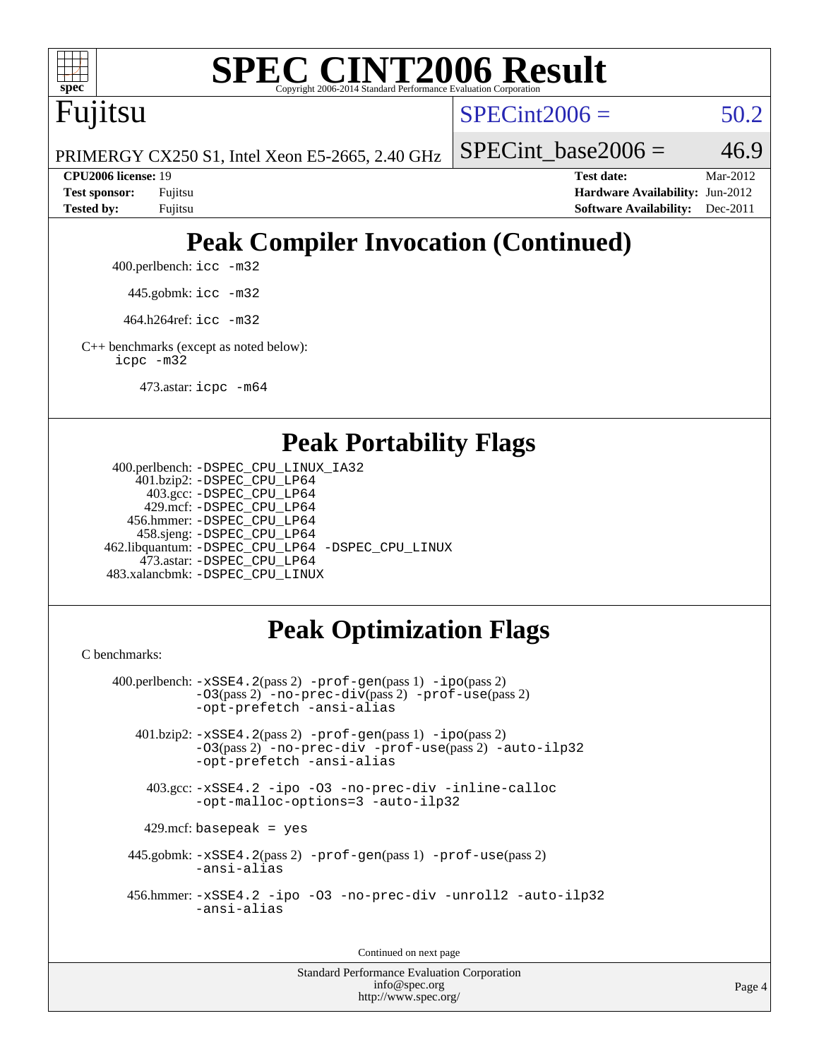

Fujitsu

 $SPECint2006 = 50.2$  $SPECint2006 = 50.2$ 

PRIMERGY CX250 S1, Intel Xeon E5-2665, 2.40 GHz

SPECint base2006 =  $46.9$ 

**[CPU2006 license:](http://www.spec.org/auto/cpu2006/Docs/result-fields.html#CPU2006license)** 19 **[Test date:](http://www.spec.org/auto/cpu2006/Docs/result-fields.html#Testdate)** Mar-2012 **[Test sponsor:](http://www.spec.org/auto/cpu2006/Docs/result-fields.html#Testsponsor)** Fujitsu **[Hardware Availability:](http://www.spec.org/auto/cpu2006/Docs/result-fields.html#HardwareAvailability)** Jun-2012 **[Tested by:](http://www.spec.org/auto/cpu2006/Docs/result-fields.html#Testedby)** Fujitsu **[Software Availability:](http://www.spec.org/auto/cpu2006/Docs/result-fields.html#SoftwareAvailability)** Dec-2011

# **[Peak Compiler Invocation \(Continued\)](http://www.spec.org/auto/cpu2006/Docs/result-fields.html#PeakCompilerInvocation)**

400.perlbench: [icc -m32](http://www.spec.org/cpu2006/results/res2012q3/cpu2006-20120605-22804.flags.html#user_peakCCLD400_perlbench_intel_icc_a6a621f8d50482236b970c6ac5f55f93)

445.gobmk: [icc -m32](http://www.spec.org/cpu2006/results/res2012q3/cpu2006-20120605-22804.flags.html#user_peakCCLD445_gobmk_intel_icc_a6a621f8d50482236b970c6ac5f55f93)

464.h264ref: [icc -m32](http://www.spec.org/cpu2006/results/res2012q3/cpu2006-20120605-22804.flags.html#user_peakCCLD464_h264ref_intel_icc_a6a621f8d50482236b970c6ac5f55f93)

[C++ benchmarks \(except as noted below\):](http://www.spec.org/auto/cpu2006/Docs/result-fields.html#CXXbenchmarksexceptasnotedbelow) [icpc -m32](http://www.spec.org/cpu2006/results/res2012q3/cpu2006-20120605-22804.flags.html#user_CXXpeak_intel_icpc_4e5a5ef1a53fd332b3c49e69c3330699)

473.astar: [icpc -m64](http://www.spec.org/cpu2006/results/res2012q3/cpu2006-20120605-22804.flags.html#user_peakCXXLD473_astar_intel_icpc_64bit_fc66a5337ce925472a5c54ad6a0de310)

#### **[Peak Portability Flags](http://www.spec.org/auto/cpu2006/Docs/result-fields.html#PeakPortabilityFlags)**

```
 400.perlbench: -DSPEC_CPU_LINUX_IA32
    401.bzip2: -DSPEC_CPU_LP64
      403.gcc: -DSPEC_CPU_LP64
     429.mcf: -DSPEC_CPU_LP64
   456.hmmer: -DSPEC_CPU_LP64
    458.sjeng: -DSPEC_CPU_LP64
462.libquantum: -DSPEC_CPU_LP64 -DSPEC_CPU_LINUX
     473.astar: -DSPEC_CPU_LP64
483.xalancbmk: -DSPEC_CPU_LINUX
```
# **[Peak Optimization Flags](http://www.spec.org/auto/cpu2006/Docs/result-fields.html#PeakOptimizationFlags)**

[C benchmarks](http://www.spec.org/auto/cpu2006/Docs/result-fields.html#Cbenchmarks):

```
 400.perlbench: -xSSE4.2(pass 2) -prof-gen(pass 1) -ipo(pass 2)
           -O3(pass 2) -no-prec-div(pass 2) -prof-use(pass 2)
          -opt-prefetch -ansi-alias
   401.bzip2: -xSSE4.2(pass 2) -prof-gen(pass 1) -ipo(pass 2)
           -O3(pass 2) -no-prec-div -prof-use(pass 2) -auto-ilp32
           -opt-prefetch -ansi-alias
    403.gcc: -xSSE4.2 -ipo -O3 -no-prec-div -inline-calloc
           -opt-malloc-options=3 -auto-ilp32
   429.mcf: basepeak = yes
  445.gobmk: -xSSE4.2(pass 2) -prof-gen(pass 1) -prof-use(pass 2)
           -ansi-alias
  456.hmmer: -xSSE4.2 -ipo -O3 -no-prec-div -unroll2 -auto-ilp32
           -ansi-alias
```
Continued on next page

Standard Performance Evaluation Corporation [info@spec.org](mailto:info@spec.org) <http://www.spec.org/>